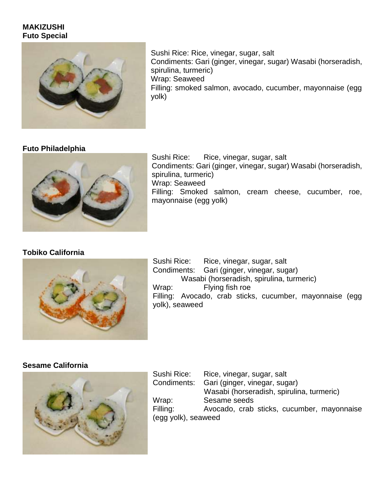#### **MAKIZUSHI Futo Special**



Sushi Rice: Rice, vinegar, sugar, salt Condiments: Gari (ginger, vinegar, sugar) Wasabi (horseradish, spirulina, turmeric) Wrap: Seaweed Filling: smoked salmon, avocado, cucumber, mayonnaise (egg yolk)

#### **Futo Philadelphia**



Sushi Rice: Rice, vinegar, sugar, salt Condiments: Gari (ginger, vinegar, sugar) Wasabi (horseradish, spirulina, turmeric) Wrap: Seaweed Filling: Smoked salmon, cream cheese, cucumber, roe, mayonnaise (egg yolk)

#### **Tobiko California**



Sushi Rice: Rice, vinegar, sugar, salt Condiments: Gari (ginger, vinegar, sugar) Wasabi (horseradish, spirulina, turmeric) Wrap: Flying fish roe Filling: Avocado, crab sticks, cucumber, mayonnaise (egg yolk), seaweed

#### **Sesame California**



Sushi Rice: Rice, vinegar, sugar, salt Condiments: Gari (ginger, vinegar, sugar) Wasabi (horseradish, spirulina, turmeric) Wrap: Sesame seeds Filling: Avocado, crab sticks, cucumber, mayonnaise (egg yolk), seaweed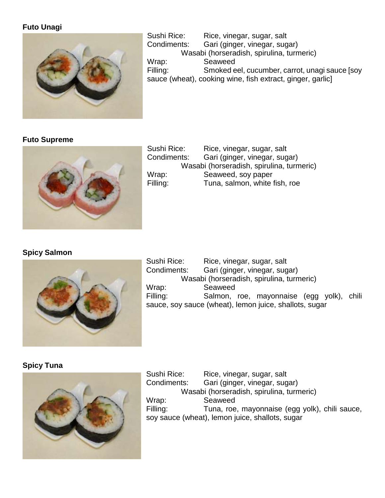### **Futo Unagi**



Sushi Rice: Rice, vinegar, sugar, salt Condiments: Gari (ginger, vinegar, sugar) Wasabi (horseradish, spirulina, turmeric) Wrap: Seaweed Filling: Smoked eel, cucumber, carrot, unagi sauce [soy sauce (wheat), cooking wine, fish extract, ginger, garlic]

### **Futo Supreme**



Sushi Rice: Rice, vinegar, sugar, salt Condiments: Gari (ginger, vinegar, sugar) Wasabi (horseradish, spirulina, turmeric) Wrap: Seaweed, soy paper Filling: Tuna, salmon, white fish, roe

#### **Spicy Salmon**



Sushi Rice: Rice, vinegar, sugar, salt Condiments: Gari (ginger, vinegar, sugar) Wasabi (horseradish, spirulina, turmeric) Wrap: Seaweed Filling: Salmon, roe, mayonnaise (egg yolk), chili sauce, soy sauce (wheat), lemon juice, shallots, sugar

**Spicy Tuna**



Sushi Rice: Rice, vinegar, sugar, salt Condiments: Gari (ginger, vinegar, sugar) Wasabi (horseradish, spirulina, turmeric) Wrap: Seaweed Filling: Tuna, roe, mayonnaise (egg yolk), chili sauce, soy sauce (wheat), lemon juice, shallots, sugar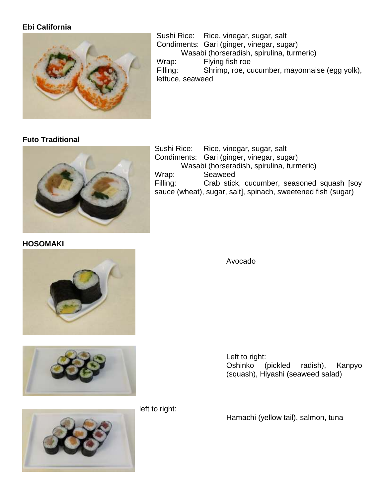### **Ebi California**



Sushi Rice: Rice, vinegar, sugar, salt Condiments: Gari (ginger, vinegar, sugar) Wasabi (horseradish, spirulina, turmeric) Wrap: Flying fish roe Filling: Shrimp, roe, cucumber, mayonnaise (egg yolk), lettuce, seaweed

### **Futo Traditional**



**HOSOMAKI**



Sushi Rice: Rice, vinegar, sugar, salt Condiments: Gari (ginger, vinegar, sugar)

Avocado





left to right:

Left to right: Oshinko (pickled radish), Kanpyo (squash), Hiyashi (seaweed salad)

Hamachi (yellow tail), salmon, tuna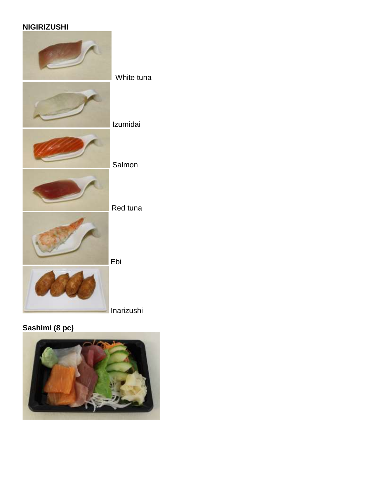## **NIGIRIZUSHI**



## Inarizushi

## **Sashimi (8 pc)**

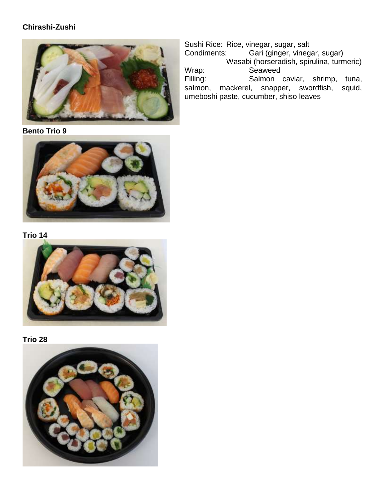### **Chirashi-Zushi**



**Bento Trio 9**



**Trio 14**



**Trio 28**



Sushi Rice: Rice, vinegar, sugar, salt<br>Condiments: Gari (ginger, vineg Gari (ginger, vinegar, sugar) Wasabi (horseradish, spirulina, turmeric) Wrap: Seaweed Filling: Salmon caviar, shrimp, tuna, salmon, mackerel, snapper, swordfish, squid, mackerel, snapper, swordfish, umeboshi paste, cucumber, shiso leaves